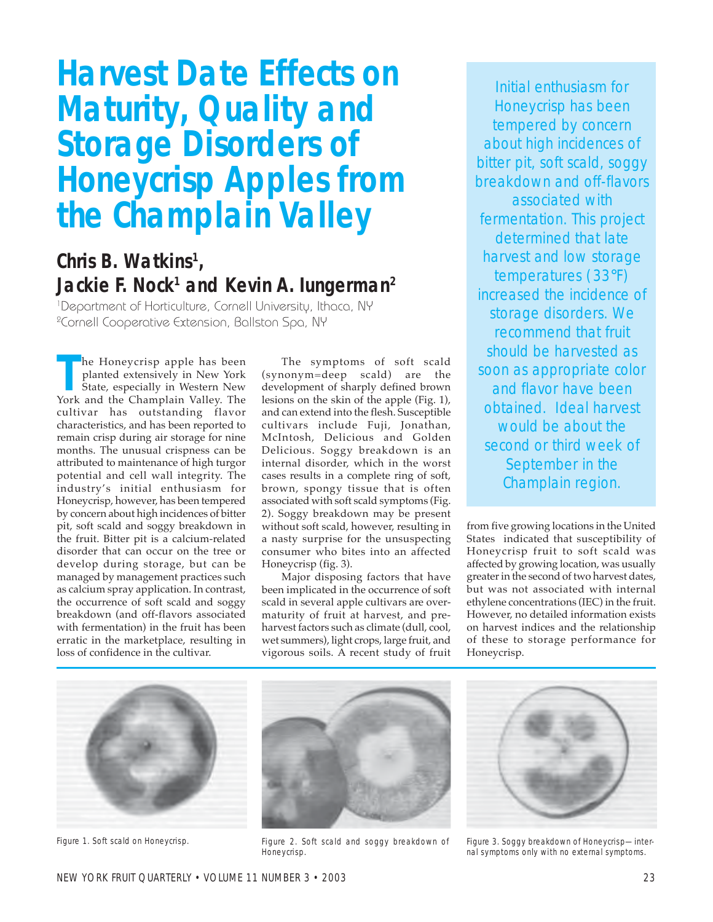# **Harvest Date Effects on Maturity, Quality and Storage Disorders of Honeycrisp Apples from the Champlain Valley**

# **Chris B. Watkins1 ,** Jackie F. Nock<sup>1</sup> and Kevin A. lungerman<sup>2</sup>

1 Department of Horticulture, Cornell University, Ithaca, NY 2 Cornell Cooperative Extension, Ballston Spa, NY

**The Honeycrisp apple has been planted extensively in New York State, especially in Western New York and the Champlain Valley. The** he Honeycrisp apple has been planted extensively in New York State, especially in Western New cultivar has outstanding flavor characteristics, and has been reported to remain crisp during air storage for nine months. The unusual crispness can be attributed to maintenance of high turgor potential and cell wall integrity. The industryís initial enthusiasm for Honeycrisp, however, has been tempered by concern about high incidences of bitter pit, soft scald and soggy breakdown in the fruit. Bitter pit is a calcium-related disorder that can occur on the tree or develop during storage, but can be managed by management practices such as calcium spray application. In contrast, the occurrence of soft scald and soggy breakdown (and off-flavors associated with fermentation) in the fruit has been erratic in the marketplace, resulting in loss of confidence in the cultivar.

The symptoms of soft scald (synonym=deep scald) are the development of sharply defined brown lesions on the skin of the apple (Fig. 1), and can extend into the flesh. Susceptible cultivars include Fuji, Jonathan, McIntosh, Delicious and Golden Delicious. Soggy breakdown is an internal disorder, which in the worst cases results in a complete ring of soft, brown, spongy tissue that is often associated with soft scald symptoms (Fig. 2). Soggy breakdown may be present without soft scald, however, resulting in a nasty surprise for the unsuspecting consumer who bites into an affected Honeycrisp (fig. 3).

Major disposing factors that have been implicated in the occurrence of soft scald in several apple cultivars are overmaturity of fruit at harvest, and preharvest factors such as climate (dull, cool, wet summers), light crops, large fruit, and vigorous soils. A recent study of fruit

Initial enthusiasm for Honeycrisp has been tempered by concern about high incidences of bitter pit, soft scald, soggy breakdown and off-flavors associated with fermentation. This project determined that late harvest and low storage temperatures (33°F) increased the incidence of storage disorders. We recommend that fruit should be harvested as soon as appropriate color and flavor have been obtained. Ideal harvest would be about the second or third week of September in the Champlain region.

from five growing locations in the United States indicated that susceptibility of Honeycrisp fruit to soft scald was affected by growing location, was usually greater in the second of two harvest dates, but was not associated with internal ethylene concentrations (IEC) in the fruit. However, no detailed information exists on harvest indices and the relationship of these to storage performance for Honeycrisp.





Figure 1. Soft scald on Honeycrisp. Figure 2. Soft scald and soggy breakdown of Honeycrisp.



Figure 3. Soggy breakdown of Honeycrisp—internal symptoms only with no external symptoms.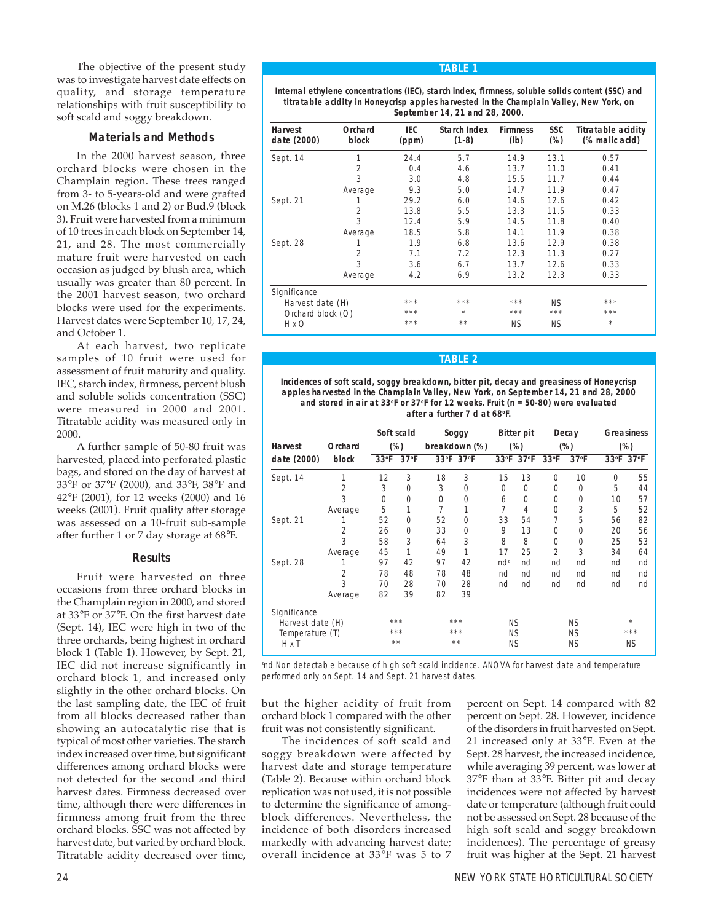The objective of the present study was to investigate harvest date effects on quality, and storage temperature relationships with fruit susceptibility to soft scald and soggy breakdown.

# **Materials and Methods**

In the 2000 harvest season, three orchard blocks were chosen in the Champlain region. These trees ranged from 3- to 5-years-old and were grafted on M.26 (blocks 1 and 2) or Bud.9 (block 3). Fruit were harvested from a minimum of 10 trees in each block on September 14, 21, and 28. The most commercially mature fruit were harvested on each occasion as judged by blush area, which usually was greater than 80 percent. In the 2001 harvest season, two orchard blocks were used for the experiments. Harvest dates were September 10, 17, 24, and October 1.

At each harvest, two replicate samples of 10 fruit were used for assessment of fruit maturity and quality. IEC, starch index, firmness, percent blush and soluble solids concentration (SSC) were measured in 2000 and 2001. Titratable acidity was measured only in 2000.

A further sample of 50-80 fruit was harvested, placed into perforated plastic bags, and stored on the day of harvest at 33°F or 37°F (2000), and 33°F, 38°F and 42°F (2001), for 12 weeks (2000) and 16 weeks (2001). Fruit quality after storage was assessed on a 10-fruit sub-sample after further 1 or 7 day storage at 68°F.

# **Results**

Fruit were harvested on three occasions from three orchard blocks in the Champlain region in 2000, and stored at 33°F or 37°F. On the first harvest date (Sept. 14), IEC were high in two of the three orchards, being highest in orchard block 1 (Table 1). However, by Sept. 21, IEC did not increase significantly in orchard block 1, and increased only slightly in the other orchard blocks. On the last sampling date, the IEC of fruit from all blocks decreased rather than showing an autocatalytic rise that is typical of most other varieties. The starch index increased over time, but significant differences among orchard blocks were not detected for the second and third harvest dates. Firmness decreased over time, although there were differences in firmness among fruit from the three orchard blocks. SSC was not affected by harvest date, but varied by orchard block. Titratable acidity decreased over time,

## **TABLE 1**

**Internal ethylene concentrations (IEC), starch index, firmness, soluble solids content (SSC) and titratable acidity in Honeycrisp apples harvested in the Champlain Valley, New York, on September 14, 21 and 28, 2000.**

| <b>Harvest</b><br>date (2000) | Orchard<br>block | <b>IEC</b><br>(ppm) | <b>Starch Index</b><br>$(1-8)$ | <b>Firmness</b><br>(lb) | SSC<br>$(\%)$ | <b>Titratable acidity</b><br>(% malic acid) |
|-------------------------------|------------------|---------------------|--------------------------------|-------------------------|---------------|---------------------------------------------|
| Sept. 14                      | 1                | 24.4                | 5.7                            | 14.9                    | 13.1          | 0.57                                        |
|                               | 2                | 0.4                 | 4.6                            | 13.7                    | 11.0          | 0.41                                        |
|                               | 3                | 3.0                 | 4.8                            | 15.5                    | 11.7          | 0.44                                        |
|                               | Average          | 9.3                 | 5.0                            | 14.7                    | 11.9          | 0.47                                        |
| Sept. 21                      |                  | 29.2                | 6.0                            | 14.6                    | 12.6          | 0.42                                        |
|                               | $\overline{2}$   | 13.8                | 5.5                            | 13.3                    | 11.5          | 0.33                                        |
|                               | 3                | 12.4                | 5.9                            | 14.5                    | 11.8          | 0.40                                        |
|                               | Average          | 18.5                | 5.8                            | 14.1                    | 11.9          | 0.38                                        |
| Sept. 28                      |                  | 1.9                 | 6.8                            | 13.6                    | 12.9          | 0.38                                        |
|                               | $\overline{2}$   | 7.1                 | 7.2                            | 12.3                    | 11.3          | 0.27                                        |
|                               | 3                | 3.6                 | 6.7                            | 13.7                    | 12.6          | 0.33                                        |
|                               | Average          | 4.2                 | 6.9                            | 13.2                    | 12.3          | 0.33                                        |
| Significance                  |                  |                     |                                |                         |               |                                             |
| Harvest date (H)              |                  | $***$               | ***                            | ***                     | <b>NS</b>     | ***                                         |
| Orchard block (O)             |                  | $***$               | $\star$                        | ***                     | ***           | ***                                         |
| H x O                         |                  | ***                 | $* *$                          | <b>NS</b>               | ΝS            | $\star$                                     |

## **TABLE 2**

**Incidences of soft scald, soggy breakdown, bitter pit, decay and greasiness of Honeycrisp apples harvested in the Champlain Valley, New York, on September 14, 21 and 28, 2000 and stored in air at 33oF or 37oF for 12 weeks. Fruit (n = 50-80) were evaluated after a further 7 d at 68oF.**

| <b>Harvest</b>   | Orchard        |               | Soft scald<br>$(\%)$ |          | Soggy<br>breakdown (%) |           | <b>Bitter pit</b><br>$(\%)$ |                | Decay<br>$(\%)$ |             | <b>Greasiness</b><br>$(\%)$ |
|------------------|----------------|---------------|----------------------|----------|------------------------|-----------|-----------------------------|----------------|-----------------|-------------|-----------------------------|
| date (2000)      | block          | $33^{\circ}F$ | $37°$ F              |          | 33°F 37°F              |           | 33°F 37°F                   | $33^{\circ}F$  | 37°F            |             | 33°F 37°F                   |
| Sept. 14         | 1              | 12            | 3                    | 18       | 3                      | 15        | 13                          | $\Omega$       | 10              | $\mathbf 0$ | 55                          |
|                  | 2              | 3             | $\Omega$             | 3        | $\Omega$               | $\Omega$  | 0                           | 0              | $\Omega$        | 5           | 44                          |
|                  | 3              | $\Omega$      | $\Omega$             | $\Omega$ | $\Omega$               | 6         | 0                           | $\Omega$       | $\Omega$        | 10          | 57                          |
|                  | Average        | 5             | 1                    | 7        | 1                      | 7         | 4                           | 0              | 3               | 5           | 52                          |
| Sept. 21         |                | 52            | $\Omega$             | 52       | $\Omega$               | 33        | 54                          | 7              | 5               | 56          | 82                          |
|                  | $\overline{2}$ | 26            | $\Omega$             | 33       | $\Omega$               | 9         | 13                          | $\Omega$       | $\Omega$        | 20          | 56                          |
|                  | 3              | 58            | 3                    | 64       | 3                      | 8         | 8                           | $\Omega$       | $\Omega$        | 25          | 53                          |
|                  | Average        | 45            | 1                    | 49       | 1                      | 17        | 25                          | $\overline{2}$ | 3               | 34          | 64                          |
| Sept. 28         | 1              | 97            | 42                   | 97       | 42                     | $nd^z$    | nd                          | nd             | nd              | nd          | nd                          |
|                  | $\overline{2}$ | 78            | 48                   | 78       | 48                     | nd        | nd                          | nd             | nd              | nd          | nd                          |
|                  | 3              | 70            | 28                   | 70       | 28                     | nd        | nd                          | nd             | nd              | nd          | nd                          |
|                  | Average        | 82            | 39                   | 82       | 39                     |           |                             |                |                 |             |                             |
| Significance     |                |               |                      |          |                        |           |                             |                |                 |             |                             |
| Harvest date (H) |                |               | ***                  |          | ***                    | <b>NS</b> |                             |                | <b>NS</b>       |             | $\star$                     |
| Temperature (T)  |                |               | ***                  |          | ***                    | <b>NS</b> |                             |                | <b>NS</b>       |             | ***                         |
| H x T            |                |               | **                   |          | **                     | <b>NS</b> |                             |                | <b>NS</b>       |             | <b>NS</b>                   |

z nd Non detectable because of high soft scald incidence. ANOVA for harvest date and temperature performed only on Sept. 14 and Sept. 21 harvest dates.

but the higher acidity of fruit from orchard block 1 compared with the other fruit was not consistently significant.

The incidences of soft scald and soggy breakdown were affected by harvest date and storage temperature (Table 2). Because within orchard block replication was not used, it is not possible to determine the significance of amongblock differences. Nevertheless, the incidence of both disorders increased markedly with advancing harvest date; overall incidence at 33°F was 5 to 7

percent on Sept. 14 compared with 82 percent on Sept. 28. However, incidence of the disorders in fruit harvested on Sept. 21 increased only at 33°F. Even at the Sept. 28 harvest, the increased incidence, while averaging 39 percent, was lower at 37°F than at 33°F. Bitter pit and decay incidences were not affected by harvest date or temperature (although fruit could not be assessed on Sept. 28 because of the high soft scald and soggy breakdown incidences). The percentage of greasy fruit was higher at the Sept. 21 harvest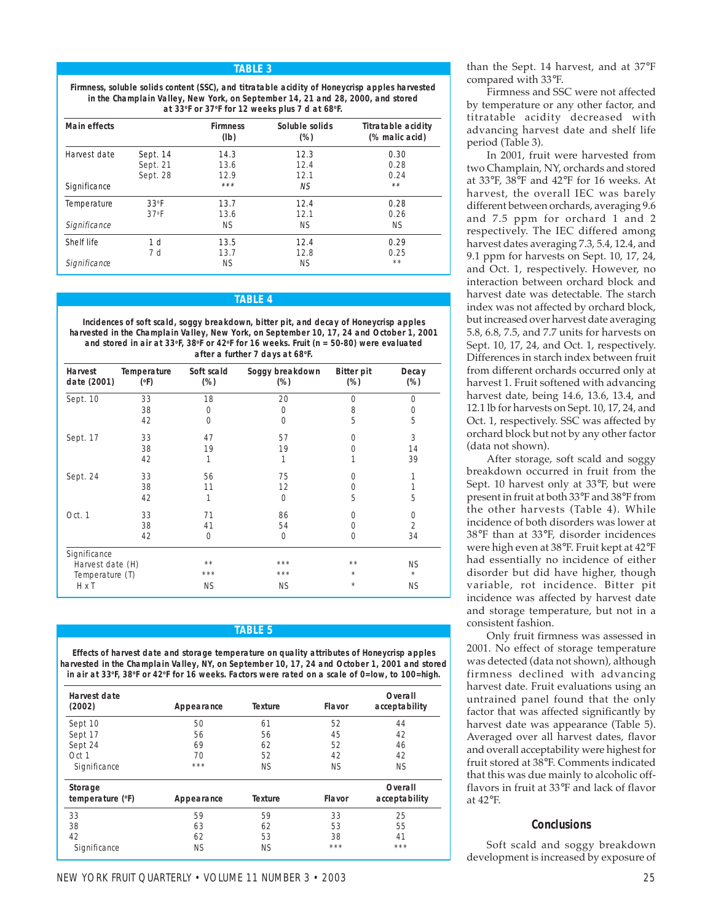#### **TABLE 3**

**Firmness, soluble solids content (SSC), and titratable acidity of Honeycrisp apples harvested in the Champlain Valley, New York, on September 14, 21 and 28, 2000, and stored at 33o F or 37o F for 12 weeks plus 7 d at 68o F.**

| Main effects |                   | <b>Firmness</b><br>(lb) | Soluble solids<br>$(\%)$ | <b>Titratable acidity</b><br>(% malic acid) |
|--------------|-------------------|-------------------------|--------------------------|---------------------------------------------|
| Harvest date | Sept. 14          | 14.3                    | 12.3                     | 0.30                                        |
|              | Sept. 21          | 13.6                    | 12.4                     | 0.28                                        |
|              | Sept. 28          | 12.9                    | 12.1                     | 0.24                                        |
| Significance |                   | ***                     | NS.                      | $**$                                        |
| Temperature  | 33 <sup>o</sup> F | 13.7                    | 12.4                     | 0.28                                        |
|              | 37 <sup>o</sup> F | 13.6                    | 12.1                     | 0.26                                        |
| Significance |                   | <b>NS</b>               | <b>NS</b>                | <b>NS</b>                                   |
| Shelf life   | 1 <sub>d</sub>    | 13.5                    | 12.4                     | 0.29                                        |
|              | 7 d               | 13.7                    | 12.8                     | 0.25                                        |
| Significance |                   | <b>NS</b>               | <b>NS</b>                | $* *$                                       |

#### **TABLE 4**

**Incidences of soft scald, soggy breakdown, bitter pit, and decay of Honeycrisp apples harvested in the Champlain Valley, New York, on September 10, 17, 24 and October 1, 2001 and stored in air at 33oF, 38oF or 42oF for 16 weeks. Fruit (n = 50-80) were evaluated after a further 7 days at 68oF.**

| Harvest<br>date (2001) | Temperature<br>$(^{\circ}F)$ | Soft scald<br>$(\%)$ | Soggy breakdown<br>$(\%)$ | <b>Bitter pit</b><br>$(\%)$ | Decay<br>$(\%)$ |
|------------------------|------------------------------|----------------------|---------------------------|-----------------------------|-----------------|
| Sept. 10               | 33                           | 18                   | 20                        | $\Omega$                    | $\Omega$        |
|                        | 38                           | $\overline{0}$       | $\Omega$                  | 8                           | 0               |
|                        | 42                           | $\Omega$             | $\Omega$                  | 5                           | 5               |
| Sept. 17               | 33                           | 47                   | 57                        | $\Omega$                    | 3               |
|                        | 38                           | 19                   | 19                        | ი                           | 14              |
|                        | 42                           | 1                    | 1                         |                             | 39              |
| Sept. 24               | 33                           | 56                   | 75                        | 0                           |                 |
|                        | 38                           | 11                   | 12                        | 0                           |                 |
|                        | 42                           | 1                    | $\mathbf 0$               | 5                           | 5               |
| Oct. 1                 | 33                           | 71                   | 86                        | 0                           | 0               |
|                        | 38                           | 41                   | 54                        | ი                           | $\overline{2}$  |
|                        | 42                           | $\Omega$             | $\Omega$                  | $\Omega$                    | 34              |
| Significance           |                              |                      |                           |                             |                 |
| Harvest date (H)       |                              | $* *$                | ***                       | $* *$                       | <b>NS</b>       |
| Temperature (T)        |                              | ***                  | ***                       | $\star$                     | $\star$         |
| H x T                  |                              | <b>NS</b>            | ΝS                        | $\star$                     | <b>NS</b>       |

#### **TABLE 5**

**Effects of harvest date and storage temperature on quality attributes of Honeycrisp apples harvested in the Champlain Valley, NY, on September 10, 17, 24 and October 1, 2001 and stored in air at 33oF, 38oF or 42oF for 16 weeks. Factors were rated on a scale of 0=low, to 100=high.**

| Harvest date<br>(2002)      | Appearance | <b>Texture</b> | Flavor        | Overall<br>acceptability |
|-----------------------------|------------|----------------|---------------|--------------------------|
| Sept 10                     | 50         | 61             | 52            | 44                       |
| Sept 17                     | 56         | 56             | 45            | 42                       |
| Sept 24                     | 69         | 62             | 52            | 46                       |
| Oct 1                       | 70         | 52             | 42            | 42                       |
| Significance                | ***        | <b>NS</b>      | <b>NS</b>     | <b>NS</b>                |
| Storage<br>temperature (°F) | Appearance | <b>Texture</b> | <b>Flavor</b> | Overall<br>acceptability |
|                             |            |                |               |                          |
| 33                          | 59         | 59             | 33            | 25                       |
| 38                          | 63         | 62             | 53            | 55                       |
| 42                          | 62         | 53             | 38            | 41                       |

than the Sept. 14 harvest, and at 37°F compared with 33°F.

Firmness and SSC were not affected by temperature or any other factor, and titratable acidity decreased with advancing harvest date and shelf life period (Table 3).

In 2001, fruit were harvested from two Champlain, NY, orchards and stored at 33°F, 38°F and 42°F for 16 weeks. At harvest, the overall IEC was barely different between orchards, averaging 9.6 and 7.5 ppm for orchard 1 and 2 respectively. The IEC differed among harvest dates averaging 7.3, 5.4, 12.4, and 9.1 ppm for harvests on Sept. 10, 17, 24, and Oct. 1, respectively. However, no interaction between orchard block and harvest date was detectable. The starch index was not affected by orchard block, but increased over harvest date averaging 5.8, 6.8, 7.5, and 7.7 units for harvests on Sept. 10, 17, 24, and Oct. 1, respectively. Differences in starch index between fruit from different orchards occurred only at harvest 1. Fruit softened with advancing harvest date, being 14.6, 13.6, 13.4, and 12.1 lb for harvests on Sept. 10, 17, 24, and Oct. 1, respectively. SSC was affected by orchard block but not by any other factor (data not shown).

After storage, soft scald and soggy breakdown occurred in fruit from the Sept. 10 harvest only at 33°F, but were present in fruit at both 33°F and 38°F from the other harvests (Table 4). While incidence of both disorders was lower at 38°F than at 33°F, disorder incidences were high even at 38°F. Fruit kept at 42°F had essentially no incidence of either disorder but did have higher, though variable, rot incidence. Bitter pit incidence was affected by harvest date and storage temperature, but not in a consistent fashion.

Only fruit firmness was assessed in 2001. No effect of storage temperature was detected (data not shown), although firmness declined with advancing harvest date. Fruit evaluations using an untrained panel found that the only factor that was affected significantly by harvest date was appearance (Table 5). Averaged over all harvest dates, flavor and overall acceptability were highest for fruit stored at 38°F. Comments indicated that this was due mainly to alcoholic offflavors in fruit at 33°F and lack of flavor at 42°F.

#### **Conclusions**

Soft scald and soggy breakdown development is increased by exposure of